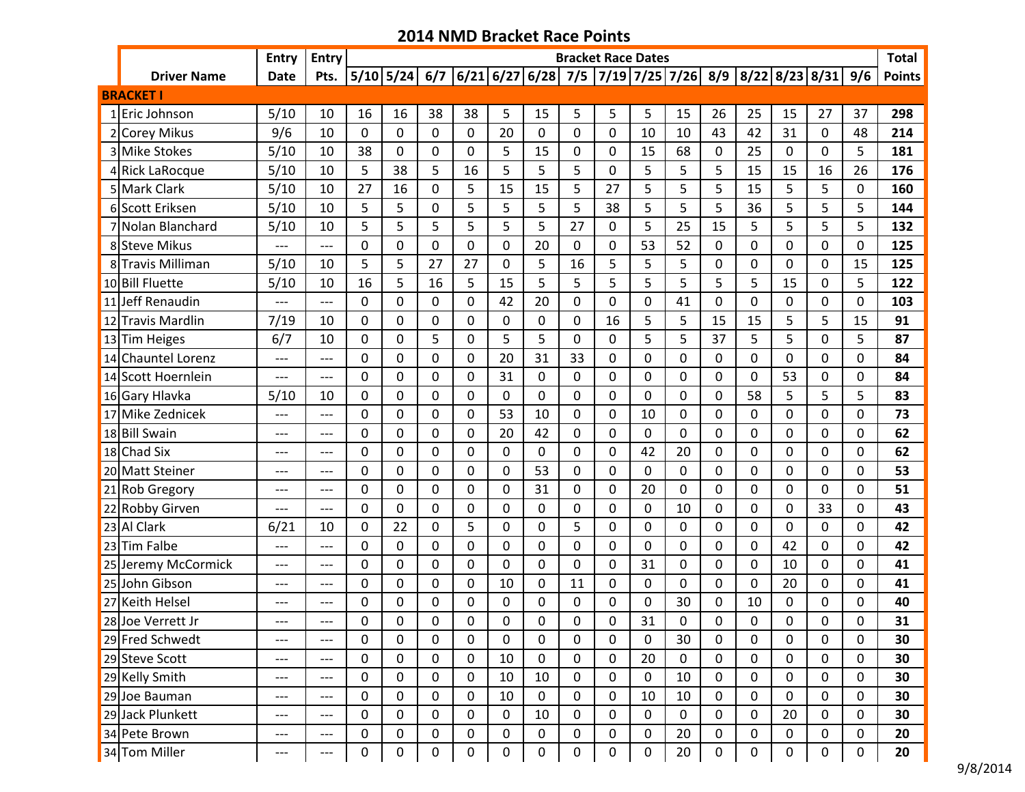|                     | <b>Entry</b> | <b>Entry</b> |              |              |             |                |                  |             |             | <b>Bracket Race Dates</b> |                |                                                                        |             |    |                |    |     | <b>Total</b>  |
|---------------------|--------------|--------------|--------------|--------------|-------------|----------------|------------------|-------------|-------------|---------------------------|----------------|------------------------------------------------------------------------|-------------|----|----------------|----|-----|---------------|
| <b>Driver Name</b>  | <b>Date</b>  | Pts.         |              |              |             |                |                  |             |             |                           |                | $ 5/10 5/24 6/7 6/21 6/27 6/28 7/5 7/19 7/25 7/26 8/9 8/22 8/23 8/31 $ |             |    |                |    | 9/6 | <b>Points</b> |
| <b>BRACKET I</b>    |              |              |              |              |             |                |                  |             |             |                           |                |                                                                        |             |    |                |    |     |               |
| 1 Eric Johnson      | 5/10         | 10           | 16           | 16           | 38          | 38             | 5                | 15          | 5           | 5                         | 5              | 15                                                                     | 26          | 25 | 15             | 27 | 37  | 298           |
| 2 Corey Mikus       | 9/6          | 10           | 0            | $\mathbf 0$  | 0           | 0              | 20               | 0           | 0           | $\mathbf 0$               | 10             | 10                                                                     | 43          | 42 | 31             | 0  | 48  | 214           |
| 3 Mike Stokes       | 5/10         | 10           | 38           | 0            | 0           | 0              | 5                | 15          | 0           | 0                         | 15             | 68                                                                     | 0           | 25 | 0              | 0  | 5   | 181           |
| 4 Rick LaRocque     | 5/10         | 10           | 5            | 38           | 5           | 16             | 5                | 5           | 5           | 0                         | 5              | 5                                                                      | 5           | 15 | 15             | 16 | 26  | 176           |
| 5 Mark Clark        | 5/10         | 10           | 27           | 16           | 0           | 5              | 15               | 15          | 5           | 27                        | 5              | 5                                                                      | 5           | 15 | 5              | 5  | 0   | 160           |
| 6 Scott Eriksen     | 5/10         | 10           | 5            | 5            | 0           | 5              | 5                | 5           | 5           | 38                        | 5              | 5                                                                      | 5           | 36 | 5              | 5  | 5   | 144           |
| 7 Nolan Blanchard   | 5/10         | 10           | 5            | 5            | 5           | 5              | 5                | 5           | 27          | 0                         | 5              | 25                                                                     | 15          | 5  | 5              | 5  | 5   | 132           |
| 8 Steve Mikus       |              | ---          | $\mathbf 0$  | 0            | 0           | 0              | 0                | 20          | 0           | 0                         | 53             | 52                                                                     | 0           | 0  | 0              | 0  | 0   | 125           |
| 8 Travis Milliman   | 5/10         | 10           | 5            | 5            | 27          | 27             | $\Omega$         | 5           | 16          | 5                         | 5              | 5                                                                      | 0           | 0  | 0              | 0  | 15  | 125           |
| 10 Bill Fluette     | 5/10         | 10           | 16           | 5            | 16          | 5              | 15               | 5           | 5           | 5                         | 5              | 5                                                                      | 5           | 5  | 15             | 0  | 5   | 122           |
| 11 Jeff Renaudin    | ---          | $---$        | 0            | $\mathbf 0$  | 0           | $\overline{0}$ | 42               | 20          | 0           | 0                         | $\overline{0}$ | 41                                                                     | 0           | 0  | 0              | 0  | 0   | 103           |
| 12 Travis Mardlin   | 7/19         | 10           | $\Omega$     | $\mathbf 0$  | 0           | 0              | $\Omega$         | 0           | 0           | 16                        | 5              | 5                                                                      | 15          | 15 | 5              | 5  | 15  | 91            |
| 13 Tim Heiges       | 6/7          | 10           | 0            | $\mathbf{0}$ | 5           | 0              | 5                | 5           | $\mathbf 0$ | $\mathbf 0$               | 5              | 5                                                                      | 37          | 5  | 5              | 0  | 5   | 87            |
| 14 Chauntel Lorenz  | ---          | ---          | 0            | 0            | 0           | 0              | 20               | 31          | 33          | $\mathbf 0$               | 0              | 0                                                                      | 0           | 0  | 0              | 0  | 0   | 84            |
| 14 Scott Hoernlein  | ---          | ---          | 0            | 0            | 0           | 0              | 31               | 0           | 0           | $\mathbf 0$               | $\mathbf 0$    | 0                                                                      | 0           | 0  | 53             | 0  | 0   | 84            |
| 16 Gary Hlavka      | 5/10         | 10           | 0            | $\Omega$     | 0           | $\mathbf 0$    | $\Omega$         | 0           | 0           | $\mathbf 0$               | $\mathbf 0$    | 0                                                                      | $\mathbf 0$ | 58 | 5              | 5  | 5   | 83            |
| 17 Mike Zednicek    | ---          | ---          | 0            | $\Omega$     | 0           | 0              | 53               | 10          | 0           | 0                         | 10             | 0                                                                      | 0           | 0  | 0              | 0  | 0   | 73            |
| 18 Bill Swain       | ---          | ---          | 0            | $\mathbf 0$  | 0           | 0              | 20               | 42          | 0           | $\mathbf 0$               | $\overline{0}$ | 0                                                                      | 0           | 0  | $\Omega$       | 0  | 0   | 62            |
| 18 Chad Six         | ---          | ---          | 0            | $\Omega$     | 0           | $\mathbf{0}$   | $\Omega$         | 0           | 0           | 0                         | 42             | 20                                                                     | 0           | 0  | 0              | 0  | 0   | 62            |
| 20 Matt Steiner     | ---          | ---          | 0            | 0            | 0           | 0              | $\mathbf 0$      | 53          | 0           | $\mathbf 0$               | $\mathbf 0$    | 0                                                                      | 0           | 0  | $\mathbf 0$    | 0  | 0   | 53            |
| 21 Rob Gregory      | ---          | ---          | 0            | 0            | 0           | 0              | 0                | 31          | 0           | 0                         | 20             | 0                                                                      | 0           | 0  | 0              | 0  | 0   | 51            |
| 22 Robby Girven     | ---          | $---$        | 0            | 0            | 0           | 0              | 0                | 0           | 0           | 0                         | 0              | 10                                                                     | 0           | 0  | 0              | 33 | 0   | 43            |
| 23 Al Clark         | 6/21         | 10           | 0            | 22           | $\mathbf 0$ | 5              | 0                | 0           | 5           | 0                         | $\overline{0}$ | 0                                                                      | 0           | 0  | $\overline{0}$ | 0  | 0   | 42            |
| 23 Tim Falbe        | ---          | ---          | 0            | 0            | 0           | 0              | $\Omega$         | 0           | 0           | 0                         | $\mathbf{0}$   | 0                                                                      | 0           | 0  | 42             | 0  | 0   | 42            |
| 25 Jeremy McCormick | ---          | ---          | $\mathbf{0}$ | $\mathbf{0}$ | 0           | 0              | $\mathbf 0$      | 0           | 0           | 0                         | 31             | 0                                                                      | 0           | 0  | 10             | 0  | 0   | 41            |
| 25 John Gibson      | ---          | ---          | 0            | 0            | 0           | 0              | 10               | 0           | 11          | 0                         | $\mathbf{0}$   | 0                                                                      | 0           | 0  | 20             | 0  | 0   | 41            |
| 27 Keith Helsel     | ---          | ---          | 0            | 0            | 0           | 0              | 0                | 0           | 0           | 0                         | 0              | 30                                                                     | 0           | 10 | 0              | 0  | 0   | 40            |
| 28 Joe Verrett Jr   | ---          | ---          | 0            | $\Omega$     | $\Omega$    | 0              | $\Omega$         | 0           | $\Omega$    | 0                         | 31             | 0                                                                      | 0           | 0  | 0              | 0  | 0   | 31            |
| 29 Fred Schwedt     | ---          | ---          | 0            | 0            | 0           | 0              | 0                | 0           | 0           | 0                         | $\mathbf 0$    | 30                                                                     | 0           | 0  | 0              | 0  | 0   | 30            |
| 29 Steve Scott      | ---          | ---          | 0            | 0            | 0           | 0              | 10               | 0           | 0           | 0                         | 20             | 0                                                                      | 0           | 0  | 0              | 0  | 0   | 30            |
| 29 Kelly Smith      | ---          | ---          | 0            | 0            | 0           | 0              | 10               | 10          | 0           | 0                         | 0              | 10                                                                     | 0           | 0  | 0              | 0  | 0   | 30            |
| 29 Joe Bauman       | ---          | ---          | 0            | 0            | 0           | 0              | 10               | 0           | 0           | 0                         | 10             | 10                                                                     | 0           | 0  | 0              | 0  | 0   | 30            |
| 29 Jack Plunkett    | ---          | ---          | 0            | 0            | 0           | 0              | $\boldsymbol{0}$ | 10          | 0           | 0                         | 0              | 0                                                                      | 0           | 0  | 20             | 0  | 0   | 30            |
| 34 Pete Brown       | ---          | ---          | 0            | 0            | 0           | 0              | 0                | $\mathbf 0$ | 0           | 0                         | $\mathbf 0$    | 20                                                                     | 0           | 0  | 0              | 0  | 0   | 20            |
| 34 Tom Miller       | ---          | ---          | 0            | 0            | $\pmb{0}$   | 0              | $\pmb{0}$        | 0           | 0           | 0                         | $\pmb{0}$      | 20                                                                     | 0           | 0  | 0              | 0  | 0   | 20            |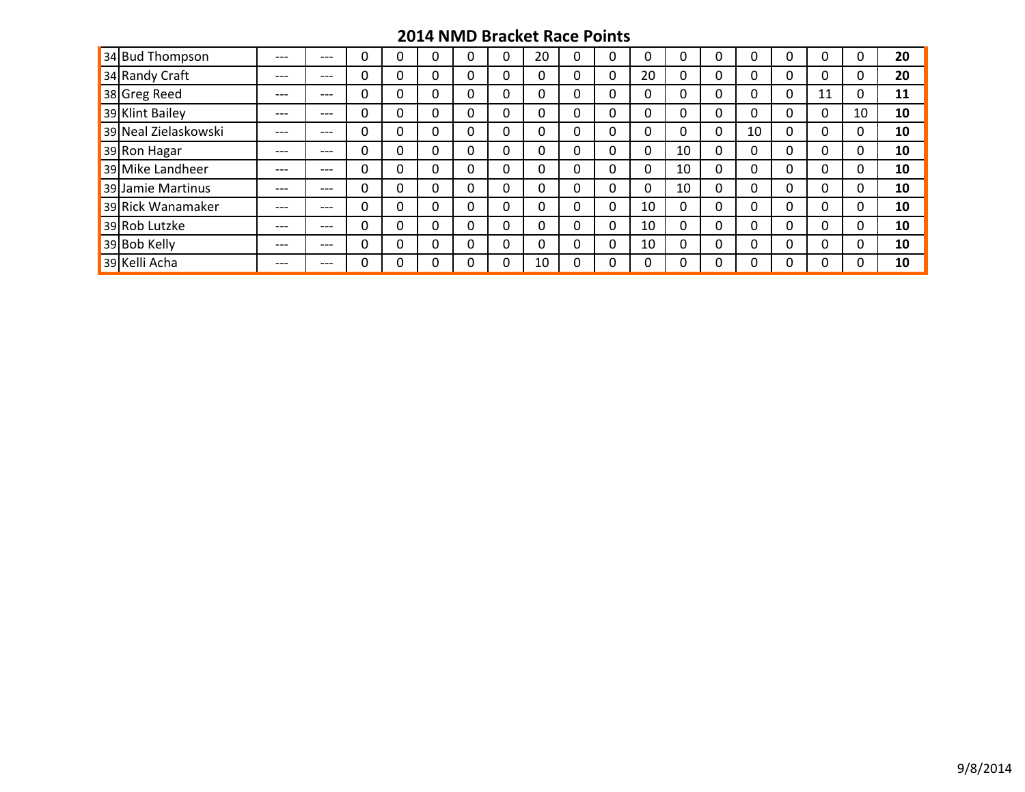| 34 Bud Thompson      | $---$ | ---   |   |          | U        |          | 20 |          | υ |    |    |   |          |   |    |    | 20 |
|----------------------|-------|-------|---|----------|----------|----------|----|----------|---|----|----|---|----------|---|----|----|----|
| 34 Randy Craft       | $---$ | $---$ | 0 |          | 0        | 0        | 0  |          | 0 | 20 |    | υ |          | 0 | υ  |    | 20 |
| 38 Greg Reed         | $---$ | $---$ | 0 |          | 0        | 0        | 0  |          | 0 |    |    | 0 | 0        | 0 | 11 |    | 11 |
| 39 Klint Bailey      | $---$ | $---$ | 0 |          | 0        | 0        | 0  | 0        | 0 | 0  |    | 0 | 0        | 0 | 0  | 10 | 10 |
| 39 Neal Zielaskowski | $---$ | $---$ | 0 |          | $\Omega$ | $\Omega$ | 0  | 0        | 0 | 0  |    | 0 | 10       | 0 | 0  |    | 10 |
| 39 Ron Hagar         | $---$ | $---$ | 0 |          | 0        | 0        | 0  |          | 0 | 0  | 10 | 0 | 0        | 0 | 0  |    | 10 |
| 39 Mike Landheer     | $---$ | $---$ | 0 |          | 0        | 0        | 0  | 0        | 0 | 0  | 10 | 0 | 0        | 0 | 0  |    | 10 |
| 39 Jamie Martinus    | $---$ | $---$ | 0 |          | 0        | 0        | 0  |          | 0 | 0  | 10 | 0 | 0        | 0 | 0  |    | 10 |
| 39 Rick Wanamaker    | $---$ | $---$ | 0 |          | 0        | 0        | 0  |          | 0 | 10 |    | 0 | 0        | 0 |    |    | 10 |
| 39 Rob Lutzke        | $---$ | $---$ | 0 | 0        | 0        | 0        | 0  | 0        | 0 | 10 |    | 0 | 0        | 0 | 0  |    | 10 |
| 39 Bob Kelly         | $---$ | $---$ | 0 | $\Omega$ | 0        | $\Omega$ | 0  | $\Omega$ | 0 | 10 |    | 0 | $\Omega$ | 0 |    |    | 10 |
| 39 Kelli Acha        | $---$ | ---   | O |          | 0        |          | 10 |          | O |    |    |   |          | ∩ |    |    | 10 |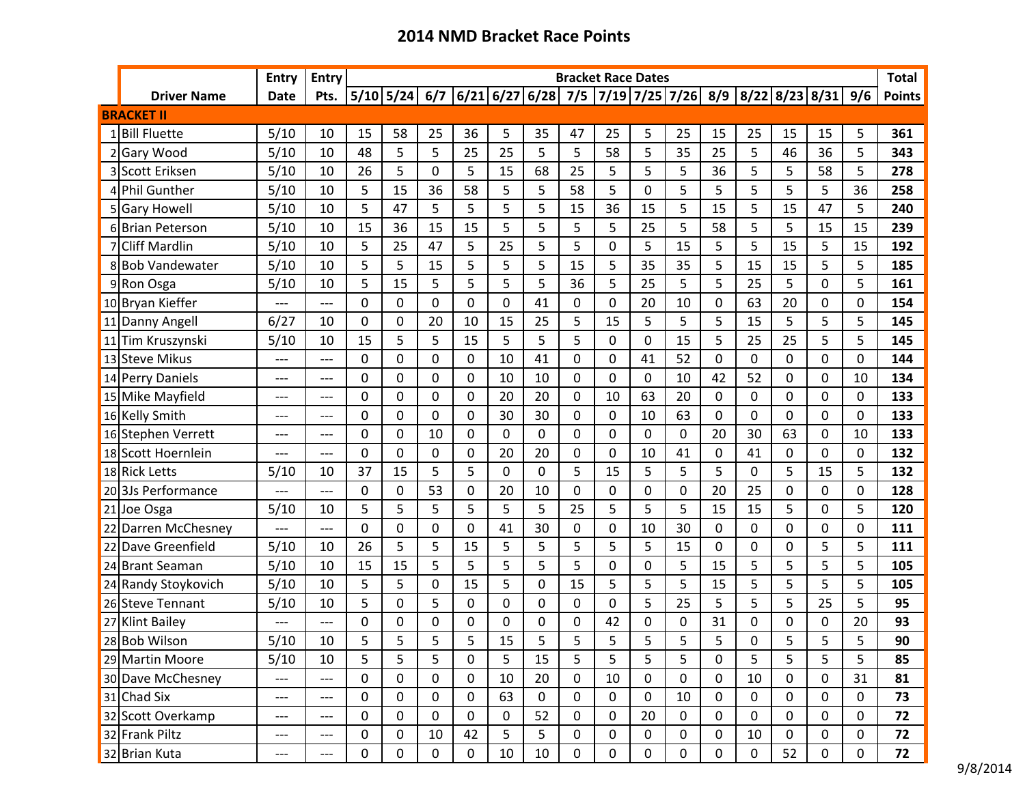|                 |                      | <b>Entry</b> | <b>Entry</b> |             |    |             |              |    |    |             | <b>Bracket Race Dates</b> |                  |                                                                          |             |             |    |    |             | <b>Total</b>  |
|-----------------|----------------------|--------------|--------------|-------------|----|-------------|--------------|----|----|-------------|---------------------------|------------------|--------------------------------------------------------------------------|-------------|-------------|----|----|-------------|---------------|
|                 | <b>Driver Name</b>   | <b>Date</b>  | Pts.         |             |    |             |              |    |    |             |                           |                  | 5/10 5/24  6/7  6/21 6/27 6/28  7/5  7/19 7/25 7/26  8/9  8/22 8/23 8/31 |             |             |    |    | 9/6         | <b>Points</b> |
|                 | <b>BRACKET II</b>    |              |              |             |    |             |              |    |    |             |                           |                  |                                                                          |             |             |    |    |             |               |
|                 | 1 Bill Fluette       | 5/10         | 10           | 15          | 58 | 25          | 36           | 5  | 35 | 47          | 25                        | 5                | 25                                                                       | 15          | 25          | 15 | 15 | 5           | 361           |
|                 | <b>Gary Wood</b>     | 5/10         | 10           | 48          | 5  | 5           | 25           | 25 | 5  | 5           | 58                        | 5                | 35                                                                       | 25          | 5           | 46 | 36 | 5           | 343           |
|                 | Scott Eriksen        | 5/10         | 10           | 26          | 5  | 0           | 5            | 15 | 68 | 25          | 5                         | 5                | 5                                                                        | 36          | 5           | 5  | 58 | 5           | 278           |
|                 | 4 Phil Gunther       | 5/10         | 10           | 5           | 15 | 36          | 58           | 5  | 5  | 58          | 5                         | 0                | 5                                                                        | 5           | 5           | 5  | 5  | 36          | 258           |
|                 | 5 Gary Howell        | 5/10         | 10           | 5           | 47 | 5           | 5            | 5  | 5  | 15          | 36                        | 15               | 5                                                                        | 15          | 5           | 15 | 47 | 5           | 240           |
|                 | 6 Brian Peterson     | 5/10         | 10           | 15          | 36 | 15          | 15           | 5  | 5  | 5           | 5                         | 25               | 5                                                                        | 58          | 5           | 5  | 15 | 15          | 239           |
|                 | <b>Cliff Mardlin</b> | 5/10         | 10           | 5           | 25 | 47          | 5            | 25 | 5  | 5           | 0                         | 5                | 15                                                                       | 5           | 5           | 15 | 5  | 15          | 192           |
|                 | 8 Bob Vandewater     | 5/10         | 10           | 5           | 5  | 15          | 5            | 5  | 5  | 15          | 5                         | 35               | 35                                                                       | 5           | 15          | 15 | 5  | 5           | 185           |
|                 | 9Ron Osga            | 5/10         | 10           | 5           | 15 | 5           | 5            | 5  | 5  | 36          | 5                         | 25               | 5                                                                        | 5           | 25          | 5  | 0  | 5           | 161           |
|                 | 10 Bryan Kieffer     | ---          | ---          | 0           | 0  | 0           | 0            | 0  | 41 | 0           | 0                         | 20               | 10                                                                       | 0           | 63          | 20 | 0  | 0           | 154           |
|                 | 11 Danny Angell      | 6/27         | 10           | 0           | 0  | 20          | 10           | 15 | 25 | 5           | 15                        | 5                | 5                                                                        | 5           | 15          | 5  | 5  | 5           | 145           |
| 11              | ITim Kruszynski      | 5/10         | 10           | 15          | 5  | 5           | 15           | 5  | 5  | 5           | 0                         | 0                | 15                                                                       | 5           | 25          | 25 | 5  | 5           | 145           |
|                 | 13 Steve Mikus       | ---          | ---          | 0           | 0  | $\mathbf 0$ | $\mathbf 0$  | 10 | 41 | 0           | 0                         | 41               | 52                                                                       | 0           | 0           | 0  | 0  | 0           | 144           |
|                 | 14 Perry Daniels     | $---$        | $---$        | 0           | 0  | 0           | 0            | 10 | 10 | 0           | 0                         | 0                | 10                                                                       | 42          | 52          | 0  | 0  | 10          | 134           |
|                 | 15 Mike Mayfield     | ---          | ---          | 0           | 0  | 0           | 0            | 20 | 20 | 0           | 10                        | 63               | 20                                                                       | 0           | 0           | 0  | 0  | 0           | 133           |
|                 | 16 Kelly Smith       | ---          | ---          | 0           | 0  | 0           | $\Omega$     | 30 | 30 | 0           | 0                         | 10               | 63                                                                       | 0           | 0           | 0  | 0  | 0           | 133           |
|                 | 16 Stephen Verrett   | $---$        | $---$        | 0           | 0  | 10          | 0            | 0  | 0  | 0           | 0                         | $\Omega$         | 0                                                                        | 20          | 30          | 63 | 0  | 10          | 133           |
|                 | 18 Scott Hoernlein   | ---          | ---          | 0           | 0  | 0           | $\mathbf 0$  | 20 | 20 | 0           | 0                         | 10               | 41                                                                       | 0           | 41          | 0  | 0  | $\mathbf 0$ | 132           |
|                 | 18 Rick Letts        | 5/10         | 10           | 37          | 15 | 5           | 5            | 0  | 0  | 5           | 15                        | 5                | 5                                                                        | 5           | 0           | 5  | 15 | 5           | 132           |
|                 | 20 3Js Performance   | ---          | ---          | 0           | 0  | 53          | $\mathbf 0$  | 20 | 10 | 0           | 0                         | 0                | 0                                                                        | 20          | 25          | 0  | 0  | $\mathbf 0$ | 128           |
| $\overline{21}$ | IJoe Osga            | 5/10         | 10           | 5           | 5  | 5           | 5            | 5  | 5  | 25          | 5                         | 5                | 5                                                                        | 15          | 15          | 5  | 0  | 5           | 120           |
| 22              | Darren McChesney     | ---          | ---          | 0           | 0  | 0           | 0            | 41 | 30 | 0           | 0                         | 10               | 30                                                                       | 0           | 0           | 0  | 0  | 0           | 111           |
|                 | 22 Dave Greenfield   | 5/10         | 10           | 26          | 5  | 5           | 15           | 5  | 5  | 5           | 5                         | 5                | 15                                                                       | 0           | 0           | 0  | 5  | 5           | 111           |
|                 | 24 Brant Seaman      | 5/10         | 10           | 15          | 15 | 5           | 5            | 5  | 5  | 5           | 0                         | 0                | 5                                                                        | 15          | 5           | 5  | 5  | 5           | 105           |
|                 | 24 Randy Stoykovich  | 5/10         | 10           | 5           | 5  | $\mathbf 0$ | 15           | 5  | 0  | 15          | 5                         | 5                | 5                                                                        | 15          | 5           | 5  | 5  | 5           | 105           |
|                 | 26 Steve Tennant     | 5/10         | 10           | 5           | 0  | 5           | $\Omega$     | 0  | 0  | 0           | 0                         | 5                | 25                                                                       | 5           | 5           | 5  | 25 | 5           | 95            |
|                 | 27 Klint Bailey      | ---          | ---          | 0           | 0  | 0           | 0            | 0  | 0  | 0           | 42                        | 0                | 0                                                                        | 31          | 0           | 0  | 0  | 20          | 93            |
|                 | 28 Bob Wilson        | 5/10         | 10           | 5           | 5  | 5           | 5            | 15 | 5  | 5           | 5                         | 5                | 5                                                                        | 5           | 0           | 5  | 5  | 5           | 90            |
|                 | 29 Martin Moore      | 5/10         | 10           | 5           | 5  | 5           | 0            | 5  | 15 | 5           | 5                         | 5                | 5                                                                        | 0           | 5           | 5  | 5  | 5           | 85            |
|                 | 30 Dave McChesney    | ---          | $---$        | 0           | 0  | 0           | 0            | 10 | 20 | 0           | 10                        | 0                | 0                                                                        | 0           | 10          | 0  | 0  | 31          | 81            |
|                 | 31 Chad Six          | ---          | $---$        | 0           | 0  | 0           | 0            | 63 | 0  | 0           | 0                         | 0                | 10                                                                       | 0           | $\mathbf 0$ | 0  | 0  | 0           | 73            |
|                 | 32 Scott Overkamp    | ---          | ---          | 0           | 0  | 0           | $\mathbf{0}$ | 0  | 52 | 0           | 0                         | 20               | $\boldsymbol{0}$                                                         | $\mathbf 0$ | $\mathbf 0$ | 0  | 0  | $\mathbf 0$ | 72            |
|                 | 32 Frank Piltz       | ---          | ---          | 0           | 0  | 10          | 42           | 5  | 5  | 0           | 0                         | 0                | 0                                                                        | 0           | 10          | 0  | 0  | 0           | 72            |
|                 | 32 Brian Kuta        | $---$        | ---          | $\mathbf 0$ | 0  | 0           | $\mathbf 0$  | 10 | 10 | $\mathbf 0$ | $\mathbf 0$               | $\boldsymbol{0}$ | $\mathbf 0$                                                              | $\mathbf 0$ | $\mathbf 0$ | 52 | 0  | 0           | 72            |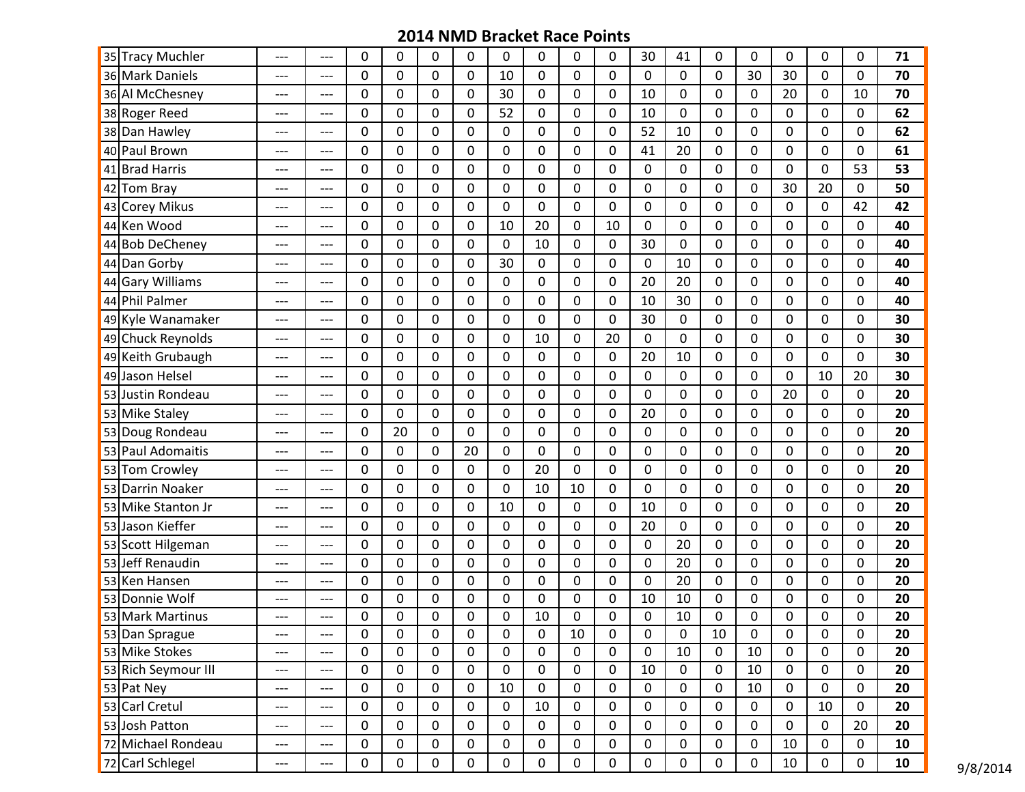| 35 Tracy Muchler    | ---   | ---   | 0           | 0           | 0 | $\mathbf{0}$     | $\Omega$    | 0              | 0              | 0  | 30               | 41               | 0              | 0              | 0              | $\mathbf{0}$   | 0           | 71 |
|---------------------|-------|-------|-------------|-------------|---|------------------|-------------|----------------|----------------|----|------------------|------------------|----------------|----------------|----------------|----------------|-------------|----|
| 36 Mark Daniels     | ---   | ---   | 0           | 0           | 0 | $\overline{0}$   | 10          | $\overline{0}$ | 0              | 0  | $\overline{0}$   | $\mathbf 0$      | $\overline{0}$ | 30             | 30             | $\overline{0}$ | 0           | 70 |
| 36 Al McChesney     | ---   | ---   | 0           | 0           | 0 | $\mathbf{0}$     | 30          | 0              | 0              | 0  | 10               | 0                | 0              | 0              | 20             | $\mathbf{0}$   | 10          | 70 |
| 38 Roger Reed       | ---   | ---   | 0           | 0           | 0 | 0                | 52          | 0              | 0              | 0  | 10               | $\mathbf 0$      | 0              | 0              | $\mathbf 0$    | 0              | 0           | 62 |
| 38 Dan Hawley       | ---   | ---   | 0           | 0           | 0 | 0                | $\Omega$    | 0              | 0              | 0  | 52               | 10               | 0              | 0              | 0              | 0              | $\Omega$    | 62 |
| 40 Paul Brown       | ---   | ---   | $\mathbf 0$ | 0           | 0 | $\mathbf 0$      | $\mathbf 0$ | 0              | 0              | 0  | 41               | 20               | 0              | 0              | 0              | $\mathbf 0$    | 0           | 61 |
| 41 Brad Harris      | ---   | ---   | 0           | 0           | 0 | $\overline{0}$   | $\mathbf 0$ | 0              | 0              | 0  | $\mathbf 0$      | $\mathbf 0$      | 0              | 0              | $\mathbf 0$    | $\overline{0}$ | 53          | 53 |
| 42 Tom Bray         | ---   | ---   | 0           | 0           | 0 | $\mathbf{0}$     | $\Omega$    | 0              | 0              | 0  | $\Omega$         | $\Omega$         | 0              | 0              | 30             | 20             | $\Omega$    | 50 |
| 43 Corey Mikus      | ---   | ---   | 0           | 0           | 0 | $\overline{0}$   | $\mathbf 0$ | 0              | $\overline{0}$ | 0  | $\mathbf 0$      | $\mathbf 0$      | 0              | 0              | $\mathbf 0$    | $\mathbf 0$    | 42          | 42 |
| 44 Ken Wood         | ---   | ---   | 0           | 0           | 0 | 0                | 10          | 20             | 0              | 10 | 0                | $\Omega$         | 0              | 0              | 0              | 0              | $\Omega$    | 40 |
| 44 Bob DeCheney     | ---   | ---   | 0           | 0           | 0 | $\mathbf 0$      | $\mathbf 0$ | 10             | 0              | 0  | 30               | $\mathbf 0$      | 0              | 0              | $\mathbf 0$    | 0              | 0           | 40 |
| 44 Dan Gorby        | ---   | ---   | $\mathbf 0$ | 0           | 0 | $\overline{0}$   | 30          | 0              | 0              | 0  | $\mathbf 0$      | 10               | 0              | 0              | $\mathbf 0$    | 0              | 0           | 40 |
| 44 Gary Williams    | ---   | ---   | 0           | 0           | 0 | 0                | 0           | 0              | 0              | 0  | 20               | 20               | 0              | 0              | 0              | $\mathbf{0}$   | $\Omega$    | 40 |
| 44 Phil Palmer      | ---   | ---   | 0           | 0           | 0 | $\overline{0}$   | $\mathbf 0$ | 0              | 0              | 0  | 10               | 30               | 0              | 0              | 0              | $\overline{0}$ | $\Omega$    | 40 |
| 49 Kyle Wanamaker   | ---   | ---   | 0           | 0           | 0 | $\mathbf{0}$     | $\Omega$    | 0              | 0              | 0  | 30               | $\Omega$         | 0              | 0              | 0              | $\mathbf{0}$   | $\Omega$    | 30 |
| 49 Chuck Reynolds   | ---   | ---   | 0           | 0           | 0 | $\mathbf 0$      | $\mathbf 0$ | 10             | 0              | 20 | $\mathbf 0$      | $\mathbf 0$      | 0              | 0              | $\mathbf 0$    | 0              | 0           | 30 |
| 49 Keith Grubaugh   | ---   | ---   | 0           | 0           | 0 | 0                | $\mathbf 0$ | 0              | 0              | 0  | 20               | 10               | 0              | 0              | $\pmb{0}$      | 0              | 0           | 30 |
| 49 Jason Helsel     | ---   | ---   | 0           | 0           | 0 | 0                | 0           | 0              | 0              | 0  | 0                | $\mathbf 0$      | 0              | 0              | $\mathbf 0$    | 10             | 20          | 30 |
| 53 Justin Rondeau   | ---   | ---   | 0           | 0           | 0 | $\overline{0}$   | $\mathbf 0$ | 0              | 0              | 0  | $\mathbf 0$      | $\Omega$         | 0              | 0              | 20             | $\overline{0}$ | 0           | 20 |
| 53 Mike Staley      | ---   | ---   | 0           | 0           | 0 | $\mathbf{0}$     | $\Omega$    | 0              | 0              | 0  | 20               | $\Omega$         | 0              | 0              | 0              | $\mathbf{0}$   | $\Omega$    | 20 |
| 53 Doug Rondeau     | ---   | ---   | 0           | 20          | 0 | $\overline{0}$   | $\mathbf 0$ | $\overline{0}$ | 0              | 0  | $\overline{0}$   | $\mathbf 0$      | $\overline{0}$ | $\overline{0}$ | $\overline{0}$ | $\overline{0}$ | 0           | 20 |
| 53 Paul Adomaitis   | ---   | ---   | 0           | 0           | 0 | 20               | $\Omega$    | 0              | 0              | 0  | $\Omega$         | 0                | 0              | 0              | 0              | $\mathbf{0}$   | $\Omega$    | 20 |
| 53 Tom Crowley      | ---   | ---   | $\mathbf 0$ | 0           | 0 | 0                | $\mathbf 0$ | 20             | 0              | 0  | $\mathbf 0$      | $\mathbf 0$      | 0              | 0              | $\mathbf 0$    | 0              | 0           | 20 |
| 53 Darrin Noaker    | ---   | ---   | 0           | 0           | 0 | 0                | $\mathbf 0$ | 10             | 10             | 0  | $\Omega$         | $\Omega$         | 0              | 0              | 0              | 0              | $\Omega$    | 20 |
| 53 Mike Stanton Jr  | ---   | ---   | 0           | 0           | 0 | $\mathbf{0}$     | 10          | 0              | 0              | 0  | 10               | 0                | 0              | 0              | 0              | $\mathbf{0}$   | $\Omega$    | 20 |
| 53 Jason Kieffer    | ---   | ---   | 0           | 0           | 0 | $\overline{0}$   | $\mathbf 0$ | $\mathbf 0$    | 0              | 0  | 20               | $\mathbf 0$      | $\mathbf 0$    | 0              | $\mathbf 0$    | $\overline{0}$ | 0           | 20 |
| 53 Scott Hilgeman   | ---   | ---   | 0           | 0           | 0 | $\mathbf{0}$     | $\Omega$    | 0              | 0              | 0  | $\Omega$         | 20               | 0              | 0              | 0              | $\mathbf{0}$   | $\Omega$    | 20 |
| 53 Jeff Renaudin    | ---   | ---   | 0           | 0           | 0 | $\mathbf 0$      | $\mathbf 0$ | 0              | 0              | 0  | $\mathbf 0$      | 20               | 0              | 0              | $\mathbf 0$    | 0              | 0           | 20 |
| 53 Ken Hansen       | ---   | ---   | 0           | 0           | 0 | $\overline{0}$   | $\mathbf 0$ | 0              | 0              | 0  | $\mathbf 0$      | 20               | 0              | 0              | 0              | $\overline{0}$ | 0           | 20 |
| 53 Donnie Wolf      | ---   | ---   | 0           | 0           | 0 | 0                | $\Omega$    | 0              | 0              | 0  | 10               | 10               | 0              | 0              | 0              | 0              | $\Omega$    | 20 |
| 53 Mark Martinus    | ---   | ---   | 0           | 0           | 0 | 0                | 0           | 10             | 0              | 0  | 0                | 10               | 0              | 0              | 0              | 0              | 0           | 20 |
| 53 Dan Sprague      | ---   | $---$ | 0           | $\pmb{0}$   | 0 | $\mathbf 0$      | 0           | 0              | 10             | 0  | 0                | 0                | 10             | 0              | 0              | 0              | 0           | 20 |
| 53 Mike Stokes      | ---   | ---   | 0           | $\mathbf 0$ | 0 | $\mathbf 0$      | 0           | $\mathbf 0$    | $\mathbf 0$    | 0  | $\mathbf 0$      | 10               | $\mathbf 0$    | 10             | $\mathbf 0$    | $\mathbf 0$    | $\mathbf 0$ | 20 |
| 53 Rich Seymour III | ---   | ---   | $\mathbf 0$ | 0           | 0 | $\pmb{0}$        | $\mathbf 0$ | $\mathbf 0$    | 0              | 0  | 10               | $\mathbf 0$      | $\mathbf 0$    | 10             | 0              | $\mathbf 0$    | 0           | 20 |
| 53 Pat Ney          | ---   | ---   | 0           | 0           | 0 | $\boldsymbol{0}$ | 10          | 0              | $\pmb{0}$      | 0  | $\boldsymbol{0}$ | $\boldsymbol{0}$ | 0              | 10             | $\pmb{0}$      | $\mathbf 0$    | 0           | 20 |
| 53 Carl Cretul      | ---   | $---$ | $\mathbf 0$ | $\mathbf 0$ | 0 | $\mathbf 0$      | $\mathbf 0$ | 10             | 0              | 0  | $\mathbf 0$      | $\mathbf 0$      | $\mathbf 0$    | $\mathbf 0$    | $\pmb{0}$      | 10             | $\mathbf 0$ | 20 |
| 53 Josh Patton      | ---   | ---   | $\mathbf 0$ | 0           | 0 | $\pmb{0}$        | $\mathbf 0$ | $\mathbf 0$    | 0              | 0  | 0                | $\mathbf 0$      | $\mathbf 0$    | 0              | 0              | 0              | 20          | 20 |
| 72 Michael Rondeau  | $---$ | $---$ | $\mathbf 0$ | 0           | 0 | $\mathbf 0$      | $\mathbf 0$ | $\mathbf 0$    | 0              | 0  | 0                | $\mathbf 0$      | $\mathbf 0$    | 0              | 10             | 0              | $\mathbf 0$ | 10 |
| 72 Carl Schlegel    | ---   | ---   | $\mathbf 0$ | 0           | 0 | 0                | $\mathbf 0$ | $\mathbf 0$    | 0              | 0  | $\boldsymbol{0}$ | $\mathbf 0$      | $\mathbf 0$    | 0              | 10             | 0              | $\mathbf 0$ | 10 |

**10** 9/8/2014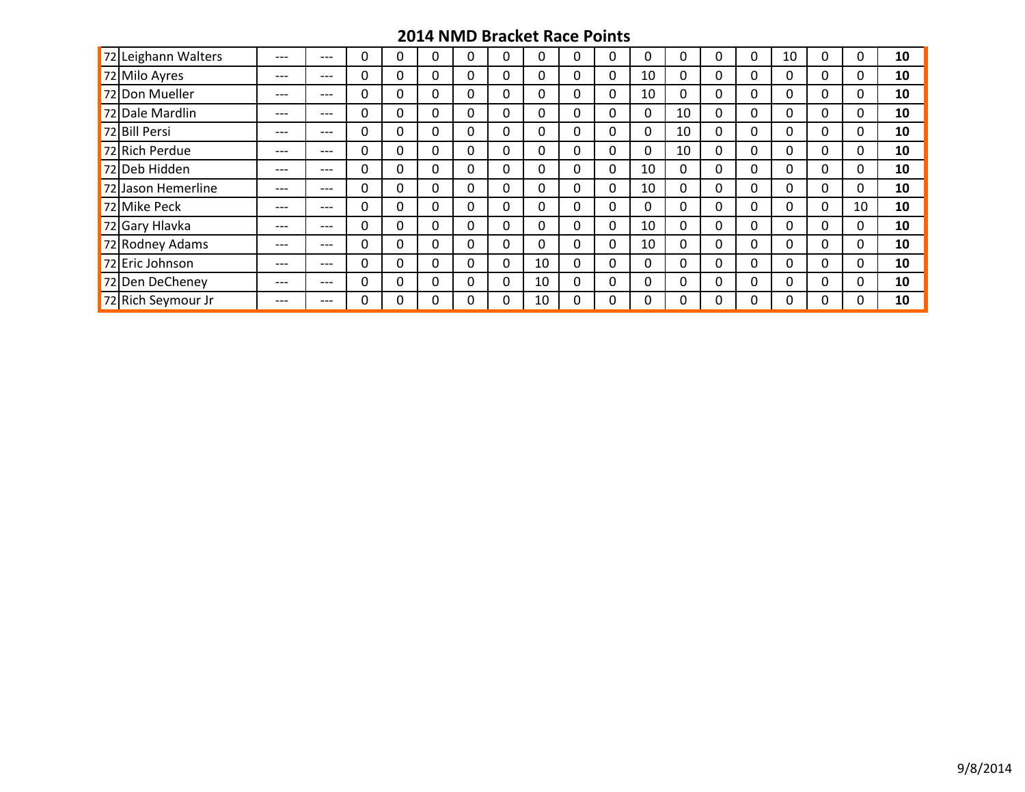| 72 Leighann Walters | ---   | $---$ | 0 |          | 0            | 0        | 0  | 0            | 0            | 0        |    | 0 | 0        | 10           | 0        |    | 10 |
|---------------------|-------|-------|---|----------|--------------|----------|----|--------------|--------------|----------|----|---|----------|--------------|----------|----|----|
| 72 Milo Ayres       | ---   | $---$ | 0 | 0        | 0            | 0        | 0  | 0            | 0            | 10       |    | 0 | 0        | 0            | 0        |    | 10 |
| 72 Don Mueller      | ---   | $---$ | 0 | 0        | 0            | 0        | 0  | 0            | 0            | 10       |    | 0 | 0        | 0            | 0        |    | 10 |
| 72 Dale Mardlin     | $---$ | $---$ | 0 | 0        | 0            | $\Omega$ | 0  | $\mathbf{0}$ | 0            | 0        | 10 | 0 | $\Omega$ | 0            | 0        |    | 10 |
| 72 Bill Persi       | ---   | $---$ | 0 | 0        | 0            | 0        | 0  | 0            | 0            | 0        | 10 | 0 | 0        | 0            | 0        |    | 10 |
| 72 Rich Perdue      | ---   | $---$ | 0 | $\Omega$ | $\mathbf{0}$ | 0        | 0  | 0            | $\mathbf{0}$ | 0        | 10 | 0 | 0        | $\mathbf{0}$ | 0        |    | 10 |
| 72 Deb Hidden       | ---   | $---$ | 0 | 0        | 0            | 0        | 0  | 0            | 0            | 10       |    | 0 | 0        | 0            | 0        |    | 10 |
| 72 Jason Hemerline  | ---   | $---$ | 0 | 0        | 0            | 0        | 0  | 0            | 0            | 10       |    | 0 | 0        | 0            | 0        |    | 10 |
| 72 Mike Peck        | ---   | $---$ | 0 | $\Omega$ | $\mathbf{0}$ | 0        | 0  | 0            | 0            | 0        |    | 0 | 0        | 0            | 0        | 10 | 10 |
| 72 Gary Hlavka      | ---   | $---$ | 0 | 0        | 0            | 0        | 0  | 0            | 0            | 10       |    | 0 | 0        | 0            | 0        |    | 10 |
| 72 Rodney Adams     | ---   | $---$ | 0 | $\Omega$ | $\mathbf{0}$ | $\Omega$ | 0  | $\Omega$     | $\Omega$     | 10       | 0  | 0 | $\Omega$ | $\Omega$     | $\Omega$ |    | 10 |
| 72 Eric Johnson     | $---$ | $---$ | 0 | 0        | 0            | 0        | 10 | 0            | 0            | 0        |    | 0 | 0        | 0            | 0        |    | 10 |
| 72 Den DeCheney     | $---$ | $---$ | 0 | $\Omega$ | 0            | 0        | 10 | $\Omega$     | $\Omega$     | $\Omega$ |    | 0 | $\Omega$ | $\Omega$     | $\Omega$ |    | 10 |
| 72 Rich Seymour Jr  | ---   | $---$ | 0 | 0        | 0            | 0        | 10 | 0            | 0            | 0        |    | 0 | 0        | 0            | 0        |    | 10 |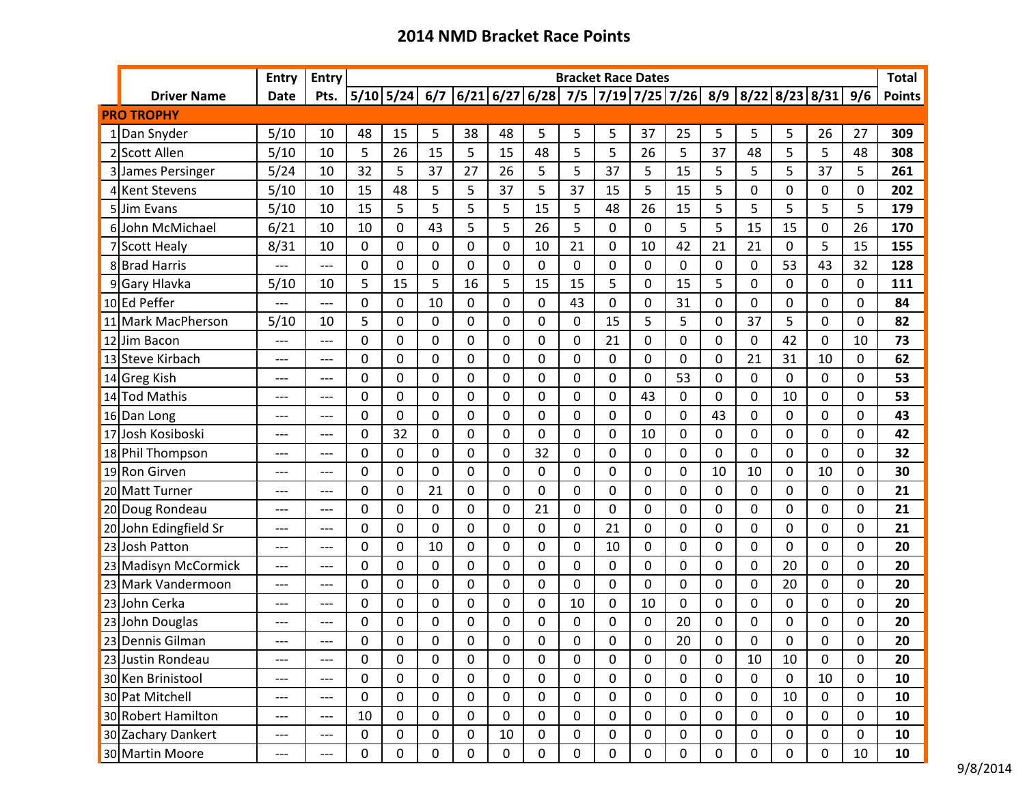|    |                       | <b>Entry</b> | <b>Entry</b>                        |             |    |             |             |             |             |             | <b>Bracket Race Dates</b> |             |                                                                        |             |              |             |           |             | <b>Total</b>  |
|----|-----------------------|--------------|-------------------------------------|-------------|----|-------------|-------------|-------------|-------------|-------------|---------------------------|-------------|------------------------------------------------------------------------|-------------|--------------|-------------|-----------|-------------|---------------|
|    | <b>Driver Name</b>    | <b>Date</b>  | Pts.                                |             |    |             |             |             |             |             |                           |             | 5/10 5/24 6/7 6/21 6/27 6/28 7/5 7/19 7/25 7/26 8/9 8/22 8/23 8/31 9/6 |             |              |             |           |             | <b>Points</b> |
|    | <b>PRO TROPHY</b>     |              |                                     |             |    |             |             |             |             |             |                           |             |                                                                        |             |              |             |           |             |               |
|    | 1 Dan Snyder          | 5/10         | 10                                  | 48          | 15 | 5           | 38          | 48          | 5           | 5           | 5                         | 37          | 25                                                                     | 5           | 5            | 5           | 26        | 27          | 309           |
|    | Scott Allen           | 5/10         | 10                                  | 5           | 26 | 15          | 5           | 15          | 48          | 5           | 5                         | 26          | 5                                                                      | 37          | 48           | 5           | 5         | 48          | 308           |
|    | James Persinger       | 5/24         | 10                                  | 32          | 5  | 37          | 27          | 26          | 5           | 5           | 37                        | 5           | 15                                                                     | 5           | 5            | 5           | 37        | 5           | 261           |
|    | 4 Kent Stevens        | 5/10         | 10                                  | 15          | 48 | 5           | 5           | 37          | 5           | 37          | 15                        | 5           | 15                                                                     | 5           | 0            | 0           | 0         | $\Omega$    | 202           |
|    | 5 Jim Evans           | 5/10         | 10                                  | 15          | 5  | 5           | 5           | 5           | 15          | 5           | 48                        | 26          | 15                                                                     | 5           | 5            | 5           | 5         | 5           | 179           |
|    | 6John McMichael       | 6/21         | 10                                  | 10          | 0  | 43          | 5           | 5           | 26          | 5           | 0                         | $\mathbf 0$ | 5                                                                      | 5           | 15           | 15          | 0         | 26          | 170           |
|    | Scott Healy           | 8/31         | 10                                  | 0           | 0  | 0           | $\Omega$    | 0           | 10          | 21          | 0                         | 10          | 42                                                                     | 21          | 21           | 0           | 5         | 15          | 155           |
|    | 8 Brad Harris         | ---          | ---                                 | 0           | 0  | 0           | 0           | 0           | 0           | 0           | 0                         | 0           | 0                                                                      | 0           | 0            | 53          | 43        | 32          | 128           |
|    | 9 Gary Hlavka         | 5/10         | 10                                  | 5           | 15 | 5           | 16          | 5           | 15          | 15          | 5                         | 0           | 15                                                                     | 5           | 0            | 0           | 0         | $\mathbf 0$ | 111           |
|    | 10 Ed Peffer          | $---$        | $---$                               | 0           | 0  | 10          | 0           | 0           | 0           | 43          | 0                         | 0           | 31                                                                     | 0           | 0            | 0           | 0         | $\mathbf 0$ | 84            |
|    | 11 Mark MacPherson    | 5/10         | 10                                  | 5           | 0  | 0           | $\mathbf 0$ | 0           | 0           | $\mathbf 0$ | 15                        | 5           | 5                                                                      | 0           | 37           | 5           | 0         | $\mathbf 0$ | 82            |
| 12 | Jim Bacon             | ---          | ---                                 | 0           | 0  | 0           | $\Omega$    | 0           | 0           | 0           | 21                        | 0           | 0                                                                      | 0           | 0            | 42          | 0         | 10          | 73            |
|    | 13 Steve Kirbach      | ---          | ---                                 | 0           | 0  | $\mathbf 0$ | $\mathbf 0$ | 0           | 0           | 0           | 0                         | 0           | 0                                                                      | $\mathbf 0$ | 21           | 31          | 10        | $\mathbf 0$ | 62            |
|    | 14 Greg Kish          | $---$        | $---$                               | 0           | 0  | 0           | $\Omega$    | 0           | 0           | 0           | 0                         | 0           | 53                                                                     | 0           | 0            | 0           | 0         | 0           | 53            |
|    | 14 Tod Mathis         | ---          | ---                                 | 0           | 0  | 0           | 0           | 0           | 0           | 0           | 0                         | 43          | 0                                                                      | 0           | 0            | 10          | 0         | 0           | 53            |
|    | 16 Dan Long           | ---          | ---                                 | 0           | 0  | 0           | $\Omega$    | 0           | 0           | 0           | 0                         | 0           | 0                                                                      | 43          | $\mathbf 0$  | 0           | 0         | 0           | 43            |
|    | 17 Josh Kosiboski     | $---$        | $---$                               | 0           | 32 | 0           | $\Omega$    | 0           | 0           | 0           | 0                         | 10          | 0                                                                      | 0           | 0            | 0           | 0         | $\mathbf 0$ | 42            |
|    | 18 Phil Thompson      | ---          | ---                                 | 0           | 0  | 0           | $\mathbf 0$ | 0           | 32          | 0           | 0                         | $\mathbf 0$ | 0                                                                      | 0           | 0            | 0           | 0         | $\mathbf 0$ | 32            |
|    | 19 Ron Girven         | ---          | ---                                 | 0           | 0  | 0           | $\Omega$    | 0           | 0           | 0           | 0                         | 0           | 0                                                                      | 10          | 10           | 0           | 10        | $\Omega$    | 30            |
|    | 20 Matt Turner        | $---$        | ---                                 | 0           | 0  | 21          | $\mathbf 0$ | 0           | 0           | 0           | 0                         | 0           | 0                                                                      | $\mathbf 0$ | 0            | 0           | 0         | $\mathbf 0$ | 21            |
|    | 20 Doug Rondeau       | ---          | ---                                 | 0           | 0  | 0           | 0           | 0           | 21          | 0           | 0                         | 0           | 0                                                                      | 0           | 0            | 0           | 0         | 0           | 21            |
|    | 20 John Edingfield Sr | ---          | ---                                 | 0           | 0  | 0           | $\Omega$    | 0           | 0           | 0           | 21                        | 0           | 0                                                                      | 0           | 0            | 0           | 0         | 0           | 21            |
|    | 23 Josh Patton        | $---$        | $---$                               | 0           | 0  | 10          | $\mathbf 0$ | 0           | 0           | 0           | 10                        | $\mathbf 0$ | 0                                                                      | $\Omega$    | $\mathbf{0}$ | 0           | 0         | $\mathbf 0$ | 20            |
|    | 23 Madisyn McCormick  | $---$        | ---                                 | 0           | 0  | 0           | 0           | 0           | 0           | 0           | 0                         | 0           | 0                                                                      | 0           | 0            | 20          | 0         | $\mathbf 0$ | 20            |
|    | 23 Mark Vandermoon    | ---          | ---                                 | 0           | 0  | $\mathbf 0$ | $\mathbf 0$ | 0           | 0           | 0           | 0                         | $\mathbf 0$ | 0                                                                      | 0           | 0            | 20          | 0         | $\mathbf 0$ | 20            |
|    | 23 John Cerka         | $---$        | $---$                               | 0           | 0  | $\mathbf 0$ | $\Omega$    | 0           | 0           | 10          | 0                         | 10          | 0                                                                      | 0           | 0            | 0           | 0         | 0           | 20            |
|    | 23 John Douglas       | ---          | ---                                 | 0           | 0  | 0           | 0           | 0           | 0           | 0           | 0                         | 0           | 20                                                                     | 0           | 0            | 0           | 0         | 0           | 20            |
|    | 23 Dennis Gilman      | ---          | ---                                 | 0           | 0  | 0           | 0           | 0           | 0           | 0           | $\Omega$                  | 0           | 20                                                                     | $\Omega$    | 0            | 0           | 0         | 0           | 20            |
|    | 23 Justin Rondeau     | ---          | ---                                 | 0           | 0  | 0           | 0           | 0           | 0           | 0           | 0                         | 0           | 0                                                                      | $\mathbf 0$ | 10           | 10          | 0         | 0           | 20            |
|    | 30 Ken Brinistool     | ---          | $---$                               | 0           | 0  | 0           | 0           | 0           | 0           | 0           | 0                         | 0           | $\boldsymbol{0}$                                                       | 0           | $\mathbf 0$  | $\mathbf 0$ | 10        | 0           | 10            |
|    | 30 Pat Mitchell       | ---          | $\hspace{0.05cm}---\hspace{0.05cm}$ | 0           | 0  | 0           | 0           | 0           | 0           | 0           | $\mathbf 0$               | 0           | 0                                                                      | 0           | $\mathbf 0$  | 10          | 0         | 0           | 10            |
|    | 30 Robert Hamilton    | ---          | ---                                 | 10          | 0  | $\mathbf 0$ | 0           | $\pmb{0}$   | 0           | 0           | $\mathbf 0$               | $\mathbf 0$ | $\mathbf 0$                                                            | $\mathbf 0$ | $\mathbf 0$  | $\mathbf 0$ | 0         | $\mathbf 0$ | 10            |
|    | 30 Zachary Dankert    | ---          | ---                                 | 0           | 0  | 0           | 0           | 10          | 0           | 0           | $\mathbf 0$               | 0           | 0                                                                      | 0           | 0            | 0           | 0         | 0           | 10            |
|    | 30 Martin Moore       | ---          | ---                                 | $\mathbf 0$ | 0  | 0           | 0           | $\mathbf 0$ | $\mathbf 0$ | $\mathbf 0$ | $\mathbf 0$               | $\mathbf 0$ | $\mathbf 0$                                                            | $\mathbf 0$ | $\mathbf 0$  | $\mathbf 0$ | $\pmb{0}$ | 10          | 10            |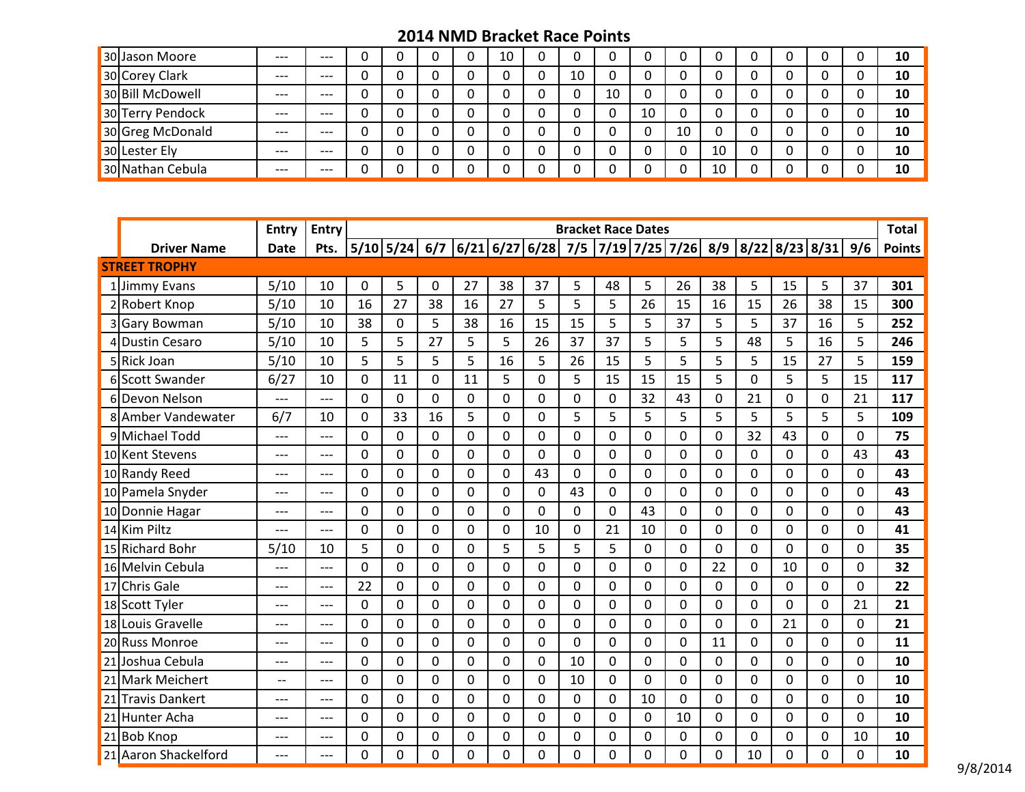| 30 Jason Moore   | $---$ | $---$ |   |  | 10 | 0 |    |    |    |    |        |  |  | 10 |
|------------------|-------|-------|---|--|----|---|----|----|----|----|--------|--|--|----|
| 30 Corey Clark   | $---$ | $---$ |   |  |    | 0 | 10 |    |    |    | ∩      |  |  | 10 |
| 30 Bill McDowell | $---$ | $---$ |   |  |    | 0 |    | 10 |    |    | ∩      |  |  | 10 |
| 30 Terry Pendock | $---$ | $---$ | u |  |    | 0 |    |    | 10 |    | u      |  |  | 10 |
| 30 Greg McDonald | $---$ | $---$ |   |  |    | 0 |    |    |    | 10 | ∩<br>u |  |  | 10 |
| 30 Lester Ely    | $---$ | $---$ |   |  |    | 0 |    |    |    |    | 10     |  |  | 10 |
| 30 Nathan Cebula | $---$ | $---$ |   |  |    | 0 |    |    |    |    | 10     |  |  | 10 |

|                      | Entry       | <b>Entry</b> |              |                                                                                                                                                                                    |                |             |             |             |                | <b>Bracket Race Dates</b> |             |              |    |          |          |          |          | <b>Total</b>  |
|----------------------|-------------|--------------|--------------|------------------------------------------------------------------------------------------------------------------------------------------------------------------------------------|----------------|-------------|-------------|-------------|----------------|---------------------------|-------------|--------------|----|----------|----------|----------|----------|---------------|
| <b>Driver Name</b>   | <b>Date</b> | Pts.         |              | $\boxed{5/10}\boxed{5/24}\boxed{6/7}\boxed{6/21}\boxed{6/27}\boxed{6/28}\boxed{7/5}\boxed{7/19}\boxed{7/25}\boxed{7/26}\boxed{8/9}\boxed{8/22}\boxed{8/23}\boxed{8/31}\boxed{9/6}$ |                |             |             |             |                |                           |             |              |    |          |          |          |          | <b>Points</b> |
| <b>STREET TROPHY</b> |             |              |              |                                                                                                                                                                                    |                |             |             |             |                |                           |             |              |    |          |          |          |          |               |
| 1 Jimmy Evans        | 5/10        | 10           | $\mathbf{0}$ | 5                                                                                                                                                                                  | $\mathbf 0$    | 27          | 38          | 37          | 5              | 48                        | 5           | 26           | 38 | 5        | 15       | 5        | 37       | 301           |
| 2 Robert Knop        | 5/10        | 10           | 16           | 27                                                                                                                                                                                 | 38             | 16          | 27          | 5           | 5              | 5                         | 26          | 15           | 16 | 15       | 26       | 38       | 15       | 300           |
| 3 Gary Bowman        | 5/10        | 10           | 38           | $\Omega$                                                                                                                                                                           | 5              | 38          | 16          | 15          | 15             | 5                         | 5           | 37           | 5  | 5        | 37       | 16       | 5        | 252           |
| <b>Dustin Cesaro</b> | 5/10        | 10           | 5            | 5                                                                                                                                                                                  | 27             | 5           | 5           | 26          | 37             | 37                        | 5           | 5            | 5  | 48       | 5        | 16       | 5        | 246           |
| 5 Rick Joan          | 5/10        | 10           | 5            | 5                                                                                                                                                                                  | 5              | 5           | 16          | 5           | 26             | 15                        | 5           | 5            | 5  | 5        | 15       | 27       | 5        | 159           |
| 6 Scott Swander      | 6/27        | 10           | 0            | 11                                                                                                                                                                                 | $\Omega$       | 11          | 5           | 0           | 5              | 15                        | 15          | 15           | 5  | 0        | 5        | 5        | 15       | 117           |
| 6Devon Nelson        | ---         | $---$        | 0            | $\Omega$                                                                                                                                                                           | $\mathbf 0$    | $\mathbf 0$ | 0           | $\Omega$    | 0              | 0                         | 32          | 43           | 0  | 21       | $\Omega$ | 0        | 21       | 117           |
| 8 Amber Vandewater   | 6/7         | 10           | 0            | 33                                                                                                                                                                                 | 16             | 5           | 0           | 0           | 5              | 5                         | 5           | 5            | 5  | 5        | 5        | 5        | 5        | 109           |
| 9 Michael Todd       | ---         | ---          | 0            | $\mathbf 0$                                                                                                                                                                        | $\mathbf 0$    | $\mathbf 0$ | 0           | 0           | 0              | 0                         | 0           | $\mathbf{0}$ | 0  | 32       | 43       | 0        | 0        | 75            |
| 10 Kent Stevens      | ---         | ---          | 0            | $\Omega$                                                                                                                                                                           | 0              | 0           | $\Omega$    | $\mathbf 0$ | 0              | $\Omega$                  | $\Omega$    | $\Omega$     | 0  | 0        | $\Omega$ | 0        | 43       | 43            |
| 10 Randy Reed        | ---         | ---          | 0            | 0                                                                                                                                                                                  | 0              | $\Omega$    | 0           | 43          | 0              | 0                         | $\Omega$    | $\Omega$     | 0  | 0        | 0        | 0        | $\Omega$ | 43            |
| 10 Pamela Snyder     | $---$       | ---          | 0            | $\Omega$                                                                                                                                                                           | $\mathbf 0$    | $\Omega$    | 0           | $\Omega$    | 43             | 0                         | 0           | $\Omega$     | 0  | 0        | $\Omega$ | 0        | 0        | 43            |
| 10 Donnie Hagar      | $---$       | $---$        | 0            | $\Omega$                                                                                                                                                                           | $\Omega$       | $\Omega$    | $\Omega$    | $\Omega$    | 0              | 0                         | 43          | $\Omega$     | 0  | 0        | 0        | 0        | 0        | 43            |
| 14 Kim Piltz         | ---         | $---$        | 0            | $\Omega$                                                                                                                                                                           | $\mathbf 0$    | $\Omega$    | 0           | 10          | 0              | 21                        | 10          | $\Omega$     | 0  | $\Omega$ | 0        | $\Omega$ | $\Omega$ | 41            |
| 15 Richard Bohr      | 5/10        | 10           | 5            | $\Omega$                                                                                                                                                                           | $\mathbf 0$    | $\Omega$    | 5           | 5           | 5              | 5                         | $\Omega$    | $\Omega$     | 0  | 0        | 0        | $\Omega$ | $\Omega$ | 35            |
| 16 Melvin Cebula     | ---         | ---          | 0            | $\Omega$                                                                                                                                                                           | $\overline{0}$ | $\Omega$    | $\Omega$    | 0           | $\overline{0}$ | 0                         | $\Omega$    | $\Omega$     | 22 | 0        | 10       | $\Omega$ | $\Omega$ | 32            |
| 17 Chris Gale        | $---$       | ---          | 22           | $\Omega$                                                                                                                                                                           | $\mathbf 0$    | $\Omega$    | $\Omega$    | 0           | 0              | 0                         | $\Omega$    | $\Omega$     | 0  | 0        | $\Omega$ | 0        | 0        | 22            |
| 18 Scott Tyler       | ---         | ---          | 0            | $\Omega$                                                                                                                                                                           | $\overline{0}$ | $\Omega$    | $\Omega$    | 0           | 0              | 0                         | $\Omega$    | $\Omega$     | 0  | 0        | 0        | $\Omega$ | 21       | 21            |
| 18 Louis Gravelle    | $---$       | $---$        | 0            | $\Omega$                                                                                                                                                                           | $\Omega$       | $\Omega$    | $\Omega$    | $\Omega$    | 0              | 0                         | 0           | $\Omega$     | 0  | 0        | 21       | $\Omega$ | 0        | 21            |
| 20 Russ Monroe       | ---         | ---          | 0            | $\Omega$                                                                                                                                                                           | $\mathbf 0$    | $\mathbf 0$ | $\Omega$    | 0           | 0              | 0                         | $\Omega$    | $\Omega$     | 11 | 0        | 0        | 0        | 0        | 11            |
| 21 Joshua Cebula     | $---$       | $---$        | 0            | $\mathbf 0$                                                                                                                                                                        | 0              | $\mathbf 0$ | $\mathbf 0$ | $\mathbf 0$ | 10             | 0                         | $\mathbf 0$ | $\mathbf 0$  | 0  | 0        | 0        | 0        | 0        | 10            |
| 21 Mark Meichert     | --          | ---          | 0            | $\mathbf 0$                                                                                                                                                                        | $\overline{0}$ | $\mathbf 0$ | $\Omega$    | 0           | 10             | 0                         | $\mathbf 0$ | $\Omega$     | 0  | 0        | 0        | 0        | 0        | 10            |
| 21 Travis Dankert    | ---         | ---          | 0            | $\Omega$                                                                                                                                                                           | $\mathbf 0$    | $\Omega$    | 0           | 0           | 0              | 0                         | 10          | $\Omega$     | 0  | $\Omega$ | 0        | 0        | 0        | 10            |
| 21 Hunter Acha       | $---$       | $---$        | 0            | $\Omega$                                                                                                                                                                           | $\Omega$       | $\Omega$    | $\Omega$    | 0           | 0              | 0                         | $\Omega$    | 10           | 0  | 0        | 0        | 0        | 0        | 10            |
| 21 Bob Knop          | ---         | ---          | 0            | $\mathbf 0$                                                                                                                                                                        | $\mathbf 0$    | $\mathbf 0$ | $\Omega$    | 0           | 0              | 0                         | 0           | $\mathbf 0$  | 0  | $\Omega$ | 0        | 0        | 10       | 10            |
| 21 Aaron Shackelford | $---$       | ---          | 0            | $\Omega$                                                                                                                                                                           | $\Omega$       | $\Omega$    | $\Omega$    | 0           | $\Omega$       | $\Omega$                  | $\Omega$    | $\Omega$     | 0  | 10       | 0        | $\Omega$ | 0        | 10            |